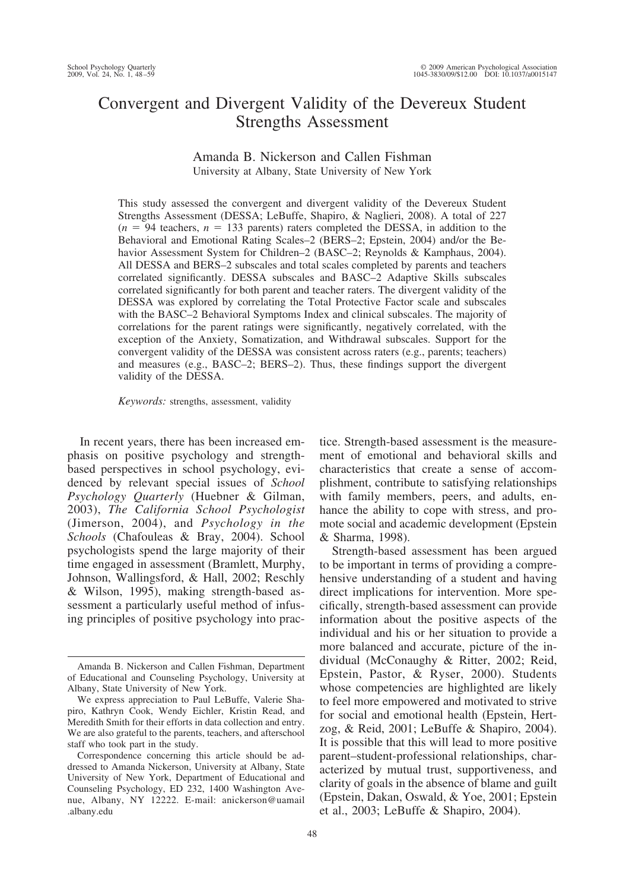# Convergent and Divergent Validity of the Devereux Student Strengths Assessment

# Amanda B. Nickerson and Callen Fishman University at Albany, State University of New York

This study assessed the convergent and divergent validity of the Devereux Student Strengths Assessment (DESSA; LeBuffe, Shapiro, & Naglieri, 2008). A total of 227  $(n = 94$  teachers,  $n = 133$  parents) raters completed the DESSA, in addition to the Behavioral and Emotional Rating Scales–2 (BERS–2; Epstein, 2004) and/or the Behavior Assessment System for Children–2 (BASC–2; Reynolds & Kamphaus, 2004). All DESSA and BERS–2 subscales and total scales completed by parents and teachers correlated significantly. DESSA subscales and BASC–2 Adaptive Skills subscales correlated significantly for both parent and teacher raters. The divergent validity of the DESSA was explored by correlating the Total Protective Factor scale and subscales with the BASC–2 Behavioral Symptoms Index and clinical subscales. The majority of correlations for the parent ratings were significantly, negatively correlated, with the exception of the Anxiety, Somatization, and Withdrawal subscales. Support for the convergent validity of the DESSA was consistent across raters (e.g., parents; teachers) and measures (e.g., BASC–2; BERS–2). Thus, these findings support the divergent validity of the DESSA.

*Keywords:* strengths, assessment, validity

In recent years, there has been increased emphasis on positive psychology and strengthbased perspectives in school psychology, evidenced by relevant special issues of *School Psychology Quarterly* (Huebner & Gilman, 2003), *The California School Psychologist* (Jimerson, 2004), and *Psychology in the Schools* (Chafouleas & Bray, 2004). School psychologists spend the large majority of their time engaged in assessment (Bramlett, Murphy, Johnson, Wallingsford, & Hall, 2002; Reschly & Wilson, 1995), making strength-based assessment a particularly useful method of infusing principles of positive psychology into practice. Strength-based assessment is the measurement of emotional and behavioral skills and characteristics that create a sense of accomplishment, contribute to satisfying relationships with family members, peers, and adults, enhance the ability to cope with stress, and promote social and academic development (Epstein & Sharma, 1998).

Strength-based assessment has been argued to be important in terms of providing a comprehensive understanding of a student and having direct implications for intervention. More specifically, strength-based assessment can provide information about the positive aspects of the individual and his or her situation to provide a more balanced and accurate, picture of the individual (McConaughy & Ritter, 2002; Reid, Epstein, Pastor, & Ryser, 2000). Students whose competencies are highlighted are likely to feel more empowered and motivated to strive for social and emotional health (Epstein, Hertzog, & Reid, 2001; LeBuffe & Shapiro, 2004). It is possible that this will lead to more positive parent–student-professional relationships, characterized by mutual trust, supportiveness, and clarity of goals in the absence of blame and guilt (Epstein, Dakan, Oswald, & Yoe, 2001; Epstein et al., 2003; LeBuffe & Shapiro, 2004).

Amanda B. Nickerson and Callen Fishman, Department of Educational and Counseling Psychology, University at Albany, State University of New York.

We express appreciation to Paul LeBuffe, Valerie Shapiro, Kathryn Cook, Wendy Eichler, Kristin Read, and Meredith Smith for their efforts in data collection and entry. We are also grateful to the parents, teachers, and afterschool staff who took part in the study.

Correspondence concerning this article should be addressed to Amanda Nickerson, University at Albany, State University of New York, Department of Educational and Counseling Psychology, ED 232, 1400 Washington Avenue, Albany, NY 12222. E-mail: anickerson@uamail .albany.edu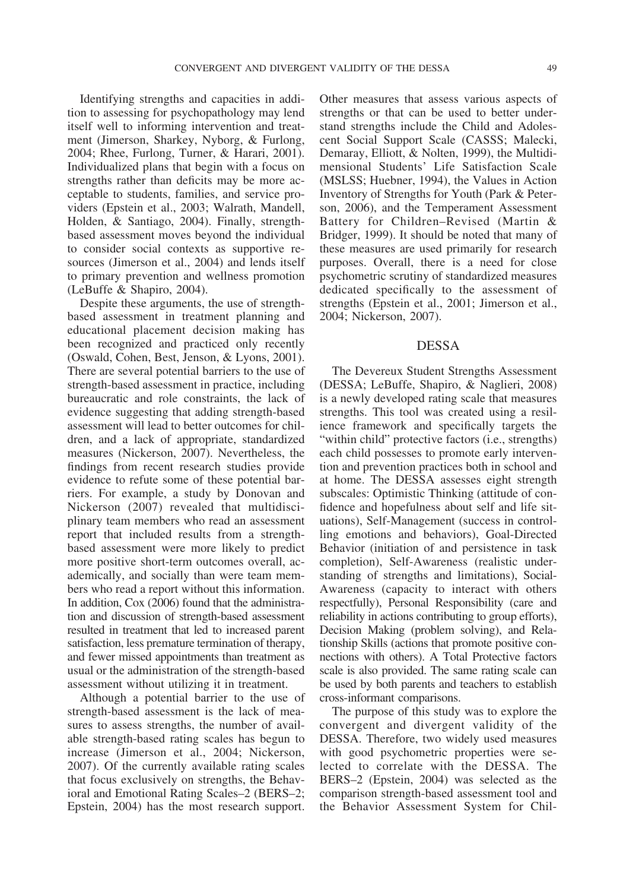Identifying strengths and capacities in addition to assessing for psychopathology may lend itself well to informing intervention and treatment (Jimerson, Sharkey, Nyborg, & Furlong, 2004; Rhee, Furlong, Turner, & Harari, 2001). Individualized plans that begin with a focus on strengths rather than deficits may be more acceptable to students, families, and service providers (Epstein et al., 2003; Walrath, Mandell, Holden, & Santiago, 2004). Finally, strengthbased assessment moves beyond the individual to consider social contexts as supportive resources (Jimerson et al., 2004) and lends itself to primary prevention and wellness promotion (LeBuffe & Shapiro, 2004).

Despite these arguments, the use of strengthbased assessment in treatment planning and educational placement decision making has been recognized and practiced only recently (Oswald, Cohen, Best, Jenson, & Lyons, 2001). There are several potential barriers to the use of strength-based assessment in practice, including bureaucratic and role constraints, the lack of evidence suggesting that adding strength-based assessment will lead to better outcomes for children, and a lack of appropriate, standardized measures (Nickerson, 2007). Nevertheless, the findings from recent research studies provide evidence to refute some of these potential barriers. For example, a study by Donovan and Nickerson (2007) revealed that multidisciplinary team members who read an assessment report that included results from a strengthbased assessment were more likely to predict more positive short-term outcomes overall, academically, and socially than were team members who read a report without this information. In addition, Cox (2006) found that the administration and discussion of strength-based assessment resulted in treatment that led to increased parent satisfaction, less premature termination of therapy, and fewer missed appointments than treatment as usual or the administration of the strength-based assessment without utilizing it in treatment.

Although a potential barrier to the use of strength-based assessment is the lack of measures to assess strengths, the number of available strength-based rating scales has begun to increase (Jimerson et al., 2004; Nickerson, 2007). Of the currently available rating scales that focus exclusively on strengths, the Behavioral and Emotional Rating Scales–2 (BERS–2; Epstein, 2004) has the most research support.

Other measures that assess various aspects of strengths or that can be used to better understand strengths include the Child and Adolescent Social Support Scale (CASSS; Malecki, Demaray, Elliott, & Nolten, 1999), the Multidimensional Students' Life Satisfaction Scale (MSLSS; Huebner, 1994), the Values in Action Inventory of Strengths for Youth (Park & Peterson, 2006), and the Temperament Assessment Battery for Children–Revised (Martin & Bridger, 1999). It should be noted that many of these measures are used primarily for research purposes. Overall, there is a need for close psychometric scrutiny of standardized measures dedicated specifically to the assessment of strengths (Epstein et al., 2001; Jimerson et al., 2004; Nickerson, 2007).

## DESSA

The Devereux Student Strengths Assessment (DESSA; LeBuffe, Shapiro, & Naglieri, 2008) is a newly developed rating scale that measures strengths. This tool was created using a resilience framework and specifically targets the "within child" protective factors (i.e., strengths) each child possesses to promote early intervention and prevention practices both in school and at home. The DESSA assesses eight strength subscales: Optimistic Thinking (attitude of confidence and hopefulness about self and life situations), Self-Management (success in controlling emotions and behaviors), Goal-Directed Behavior (initiation of and persistence in task completion), Self-Awareness (realistic understanding of strengths and limitations), Social-Awareness (capacity to interact with others respectfully), Personal Responsibility (care and reliability in actions contributing to group efforts), Decision Making (problem solving), and Relationship Skills (actions that promote positive connections with others). A Total Protective factors scale is also provided. The same rating scale can be used by both parents and teachers to establish cross-informant comparisons.

The purpose of this study was to explore the convergent and divergent validity of the DESSA. Therefore, two widely used measures with good psychometric properties were selected to correlate with the DESSA. The BERS–2 (Epstein, 2004) was selected as the comparison strength-based assessment tool and the Behavior Assessment System for Chil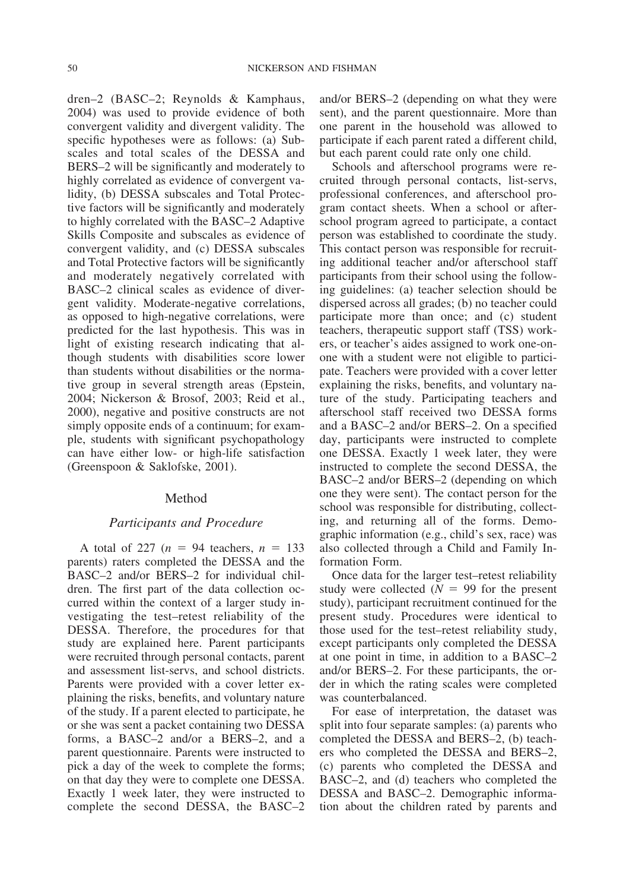dren–2 (BASC–2; Reynolds & Kamphaus, 2004) was used to provide evidence of both convergent validity and divergent validity. The specific hypotheses were as follows: (a) Subscales and total scales of the DESSA and BERS–2 will be significantly and moderately to highly correlated as evidence of convergent validity, (b) DESSA subscales and Total Protective factors will be significantly and moderately to highly correlated with the BASC–2 Adaptive Skills Composite and subscales as evidence of convergent validity, and (c) DESSA subscales and Total Protective factors will be significantly and moderately negatively correlated with BASC–2 clinical scales as evidence of divergent validity. Moderate-negative correlations, as opposed to high-negative correlations, were predicted for the last hypothesis. This was in light of existing research indicating that although students with disabilities score lower than students without disabilities or the normative group in several strength areas (Epstein, 2004; Nickerson & Brosof, 2003; Reid et al., 2000), negative and positive constructs are not simply opposite ends of a continuum; for example, students with significant psychopathology can have either low- or high-life satisfaction (Greenspoon & Saklofske, 2001).

#### Method

## *Participants and Procedure*

A total of 227 ( $n = 94$  teachers,  $n = 133$ parents) raters completed the DESSA and the BASC–2 and/or BERS–2 for individual children. The first part of the data collection occurred within the context of a larger study investigating the test–retest reliability of the DESSA. Therefore, the procedures for that study are explained here. Parent participants were recruited through personal contacts, parent and assessment list-servs, and school districts. Parents were provided with a cover letter explaining the risks, benefits, and voluntary nature of the study. If a parent elected to participate, he or she was sent a packet containing two DESSA forms, a BASC–2 and/or a BERS–2, and a parent questionnaire. Parents were instructed to pick a day of the week to complete the forms; on that day they were to complete one DESSA. Exactly 1 week later, they were instructed to complete the second DESSA, the BASC–2

and/or BERS–2 (depending on what they were sent), and the parent questionnaire. More than one parent in the household was allowed to participate if each parent rated a different child, but each parent could rate only one child.

Schools and afterschool programs were recruited through personal contacts, list-servs, professional conferences, and afterschool program contact sheets. When a school or afterschool program agreed to participate, a contact person was established to coordinate the study. This contact person was responsible for recruiting additional teacher and/or afterschool staff participants from their school using the following guidelines: (a) teacher selection should be dispersed across all grades; (b) no teacher could participate more than once; and (c) student teachers, therapeutic support staff (TSS) workers, or teacher's aides assigned to work one-onone with a student were not eligible to participate. Teachers were provided with a cover letter explaining the risks, benefits, and voluntary nature of the study. Participating teachers and afterschool staff received two DESSA forms and a BASC–2 and/or BERS–2. On a specified day, participants were instructed to complete one DESSA. Exactly 1 week later, they were instructed to complete the second DESSA, the BASC–2 and/or BERS–2 (depending on which one they were sent). The contact person for the school was responsible for distributing, collecting, and returning all of the forms. Demographic information (e.g., child's sex, race) was also collected through a Child and Family Information Form.

Once data for the larger test–retest reliability study were collected  $(N = 99)$  for the present study), participant recruitment continued for the present study. Procedures were identical to those used for the test–retest reliability study, except participants only completed the DESSA at one point in time, in addition to a BASC–2 and/or BERS–2. For these participants, the order in which the rating scales were completed was counterbalanced.

For ease of interpretation, the dataset was split into four separate samples: (a) parents who completed the DESSA and BERS–2, (b) teachers who completed the DESSA and BERS–2, (c) parents who completed the DESSA and BASC–2, and (d) teachers who completed the DESSA and BASC–2. Demographic information about the children rated by parents and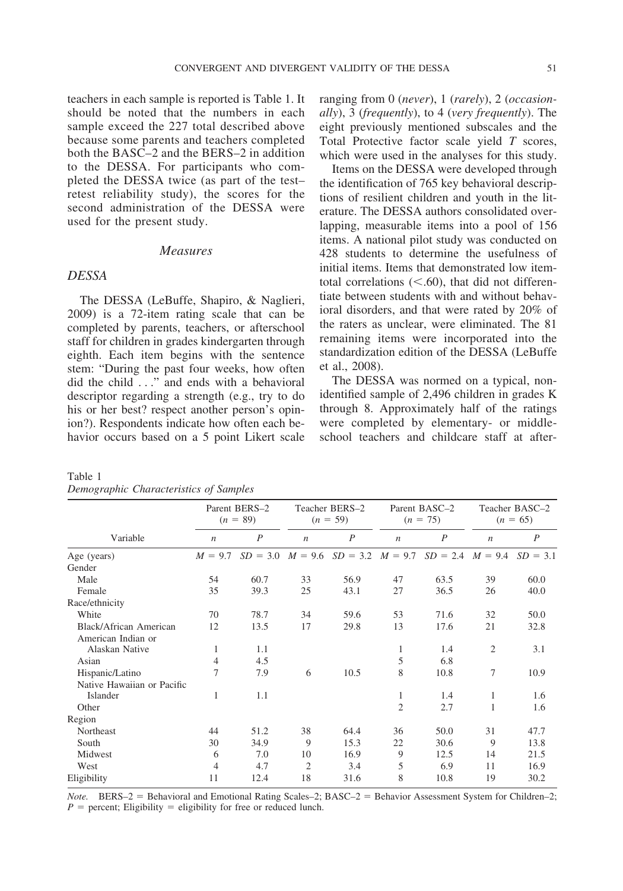teachers in each sample is reported is Table 1. It should be noted that the numbers in each sample exceed the 227 total described above because some parents and teachers completed both the BASC–2 and the BERS–2 in addition to the DESSA. For participants who completed the DESSA twice (as part of the test– retest reliability study), the scores for the second administration of the DESSA were used for the present study.

## *Measures*

# *DESSA*

The DESSA (LeBuffe, Shapiro, & Naglieri, 2009) is a 72-item rating scale that can be completed by parents, teachers, or afterschool staff for children in grades kindergarten through eighth. Each item begins with the sentence stem: "During the past four weeks, how often did the child . . ." and ends with a behavioral descriptor regarding a strength (e.g., try to do his or her best? respect another person's opinion?). Respondents indicate how often each behavior occurs based on a 5 point Likert scale ranging from 0 (*never*), 1 (*rarely*), 2 (*occasionally*), 3 (*frequently*), to 4 (*very frequently*). The eight previously mentioned subscales and the Total Protective factor scale yield *T* scores, which were used in the analyses for this study.

Items on the DESSA were developed through the identification of 765 key behavioral descriptions of resilient children and youth in the literature. The DESSA authors consolidated overlapping, measurable items into a pool of 156 items. A national pilot study was conducted on 428 students to determine the usefulness of initial items. Items that demonstrated low itemtotal correlations  $(<.60$ ), that did not differentiate between students with and without behavioral disorders, and that were rated by 20% of the raters as unclear, were eliminated. The 81 remaining items were incorporated into the standardization edition of the DESSA (LeBuffe et al., 2008).

The DESSA was normed on a typical, nonidentified sample of 2,496 children in grades K through 8. Approximately half of the ratings were completed by elementary- or middleschool teachers and childcare staff at after-

|                                                                                                                                                                                                   | Parent BERS-2<br>$(n = 89)$ |                  | Teacher BERS-2<br>$(n = 59)$ |                                                                |                  | Parent BASC-2<br>$(n = 75)$ | Teacher BASC-2<br>$(n = 65)$ |      |
|---------------------------------------------------------------------------------------------------------------------------------------------------------------------------------------------------|-----------------------------|------------------|------------------------------|----------------------------------------------------------------|------------------|-----------------------------|------------------------------|------|
| Variable<br>Age (years)<br>Gender<br>Male<br>Female<br>Race/ethnicity<br>White<br>Black/African American<br>American Indian or<br>Alaskan Native<br>Asian<br>Hispanic/Latino<br>Islander<br>Other | $\boldsymbol{n}$            | $\boldsymbol{P}$ | $\boldsymbol{n}$             | $\boldsymbol{P}$                                               | $\boldsymbol{n}$ | $\boldsymbol{P}$            | $\boldsymbol{n}$             | P    |
|                                                                                                                                                                                                   | $M = 9.7$                   | $SD = 3.0$       |                              | $M = 9.6$ $SD = 3.2$ $M = 9.7$ $SD = 2.4$ $M = 9.4$ $SD = 3.1$ |                  |                             |                              |      |
|                                                                                                                                                                                                   |                             |                  |                              |                                                                |                  |                             |                              |      |
|                                                                                                                                                                                                   | 54                          | 60.7             | 33                           | 56.9                                                           | 47               | 63.5                        | 39                           | 60.0 |
|                                                                                                                                                                                                   | 35                          | 39.3             | 25                           | 43.1                                                           | 27               | 36.5                        | 26                           | 40.0 |
|                                                                                                                                                                                                   |                             |                  |                              |                                                                |                  |                             |                              |      |
|                                                                                                                                                                                                   | 70                          | 78.7             | 34                           | 59.6                                                           | 53               | 71.6                        | 32                           | 50.0 |
|                                                                                                                                                                                                   | 12                          | 13.5             | 17                           | 29.8                                                           | 13               | 17.6                        | 21                           | 32.8 |
|                                                                                                                                                                                                   |                             |                  |                              |                                                                |                  |                             |                              |      |
|                                                                                                                                                                                                   | 1                           | 1.1              |                              |                                                                | 1                | 1.4                         | 2                            | 3.1  |
|                                                                                                                                                                                                   | $\overline{4}$              | 4.5              |                              |                                                                | 5                | 6.8                         |                              |      |
|                                                                                                                                                                                                   | 7                           | 7.9              | 6                            | 10.5                                                           | 8                | 10.8                        | 7                            | 10.9 |
| Native Hawaiian or Pacific                                                                                                                                                                        |                             |                  |                              |                                                                |                  |                             |                              |      |
|                                                                                                                                                                                                   | 1                           | 1.1              |                              |                                                                | 1                | 1.4                         | 1                            | 1.6  |
|                                                                                                                                                                                                   |                             |                  |                              |                                                                | $\overline{2}$   | 2.7                         | 1                            | 1.6  |
| Region                                                                                                                                                                                            |                             |                  |                              |                                                                |                  |                             |                              |      |
| Northeast                                                                                                                                                                                         | 44                          | 51.2             | 38                           | 64.4                                                           | 36               | 50.0                        | 31                           | 47.7 |
| South                                                                                                                                                                                             | 30                          | 34.9             | 9                            | 15.3                                                           | 22               | 30.6                        | 9                            | 13.8 |
| Midwest                                                                                                                                                                                           | 6                           | 7.0              | 10                           | 16.9                                                           | 9                | 12.5                        | 14                           | 21.5 |
| West                                                                                                                                                                                              | $\overline{4}$              | 4.7              | $\overline{2}$               | 3.4                                                            | 5                | 6.9                         | 11                           | 16.9 |
| Eligibility                                                                                                                                                                                       | 11                          | 12.4             | 18                           | 31.6                                                           | 8                | 10.8                        | 19                           | 30.2 |

Table 1 *Demographic Characteristics of Samples*

*Note.* BERS-2 = Behavioral and Emotional Rating Scales-2; BASC-2 = Behavior Assessment System for Children-2;  $P =$  percent; Eligibility = eligibility for free or reduced lunch.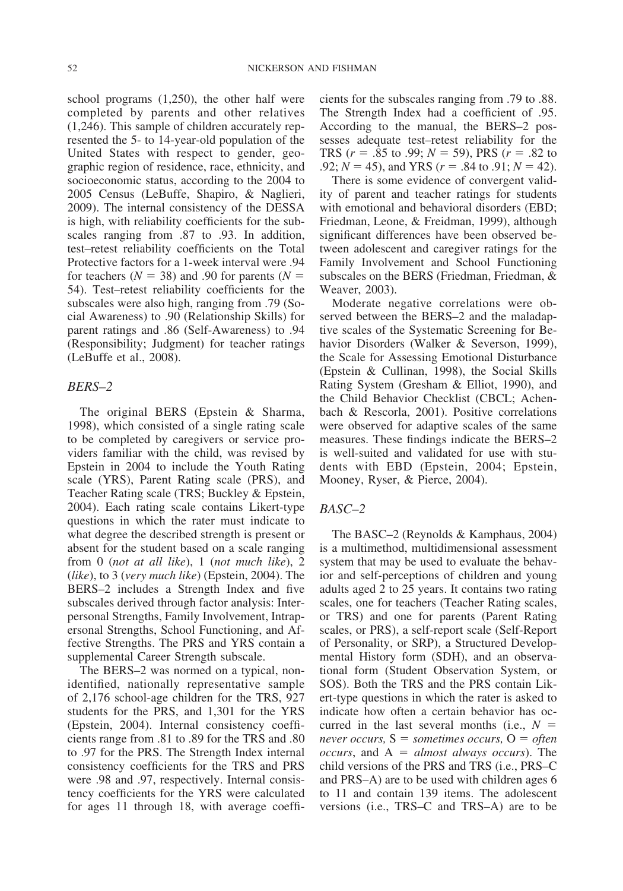school programs (1,250), the other half were completed by parents and other relatives (1,246). This sample of children accurately represented the 5- to 14-year-old population of the United States with respect to gender, geographic region of residence, race, ethnicity, and socioeconomic status, according to the 2004 to 2005 Census (LeBuffe, Shapiro, & Naglieri, 2009). The internal consistency of the DESSA is high, with reliability coefficients for the subscales ranging from .87 to .93. In addition, test–retest reliability coefficients on the Total Protective factors for a 1-week interval were .94 for teachers  $(N = 38)$  and .90 for parents  $(N = 100)$ 54). Test–retest reliability coefficients for the subscales were also high, ranging from .79 (Social Awareness) to .90 (Relationship Skills) for parent ratings and .86 (Self-Awareness) to .94 (Responsibility; Judgment) for teacher ratings (LeBuffe et al., 2008).

## *BERS–2*

The original BERS (Epstein & Sharma, 1998), which consisted of a single rating scale to be completed by caregivers or service providers familiar with the child, was revised by Epstein in 2004 to include the Youth Rating scale (YRS), Parent Rating scale (PRS), and Teacher Rating scale (TRS; Buckley & Epstein, 2004). Each rating scale contains Likert-type questions in which the rater must indicate to what degree the described strength is present or absent for the student based on a scale ranging from 0 (*not at all like*), 1 (*not much like*), 2 (*like*), to 3 (*very much like*) (Epstein, 2004). The BERS–2 includes a Strength Index and five subscales derived through factor analysis: Interpersonal Strengths, Family Involvement, Intrapersonal Strengths, School Functioning, and Affective Strengths. The PRS and YRS contain a supplemental Career Strength subscale.

The BERS–2 was normed on a typical, nonidentified, nationally representative sample of 2,176 school-age children for the TRS, 927 students for the PRS, and 1,301 for the YRS (Epstein, 2004). Internal consistency coefficients range from .81 to .89 for the TRS and .80 to .97 for the PRS. The Strength Index internal consistency coefficients for the TRS and PRS were .98 and .97, respectively. Internal consistency coefficients for the YRS were calculated for ages 11 through 18, with average coefficients for the subscales ranging from .79 to .88. The Strength Index had a coefficient of .95. According to the manual, the BERS–2 possesses adequate test–retest reliability for the TRS  $(r = .85 \text{ to } .99; N = 59)$ , PRS  $(r = .82 \text{ to } )$ .92;  $N = 45$ ), and YRS ( $r = .84$  to .91;  $N = 42$ ).

There is some evidence of convergent validity of parent and teacher ratings for students with emotional and behavioral disorders (EBD; Friedman, Leone, & Freidman, 1999), although significant differences have been observed between adolescent and caregiver ratings for the Family Involvement and School Functioning subscales on the BERS (Friedman, Friedman, & Weaver, 2003).

Moderate negative correlations were observed between the BERS–2 and the maladaptive scales of the Systematic Screening for Behavior Disorders (Walker & Severson, 1999), the Scale for Assessing Emotional Disturbance (Epstein & Cullinan, 1998), the Social Skills Rating System (Gresham & Elliot, 1990), and the Child Behavior Checklist (CBCL; Achenbach & Rescorla, 2001). Positive correlations were observed for adaptive scales of the same measures. These findings indicate the BERS–2 is well-suited and validated for use with students with EBD (Epstein, 2004; Epstein, Mooney, Ryser, & Pierce, 2004).

## *BASC–2*

The BASC–2 (Reynolds & Kamphaus, 2004) is a multimethod, multidimensional assessment system that may be used to evaluate the behavior and self-perceptions of children and young adults aged 2 to 25 years. It contains two rating scales, one for teachers (Teacher Rating scales, or TRS) and one for parents (Parent Rating scales, or PRS), a self-report scale (Self-Report of Personality, or SRP), a Structured Developmental History form (SDH), and an observational form (Student Observation System, or SOS). Both the TRS and the PRS contain Likert-type questions in which the rater is asked to indicate how often a certain behavior has occurred in the last several months (i.e., *N never occurs,* S *sometimes occurs,* O *often occurs*, and  $A = almost always occurs$ . The child versions of the PRS and TRS (i.e., PRS–C and PRS–A) are to be used with children ages 6 to 11 and contain 139 items. The adolescent versions (i.e., TRS–C and TRS–A) are to be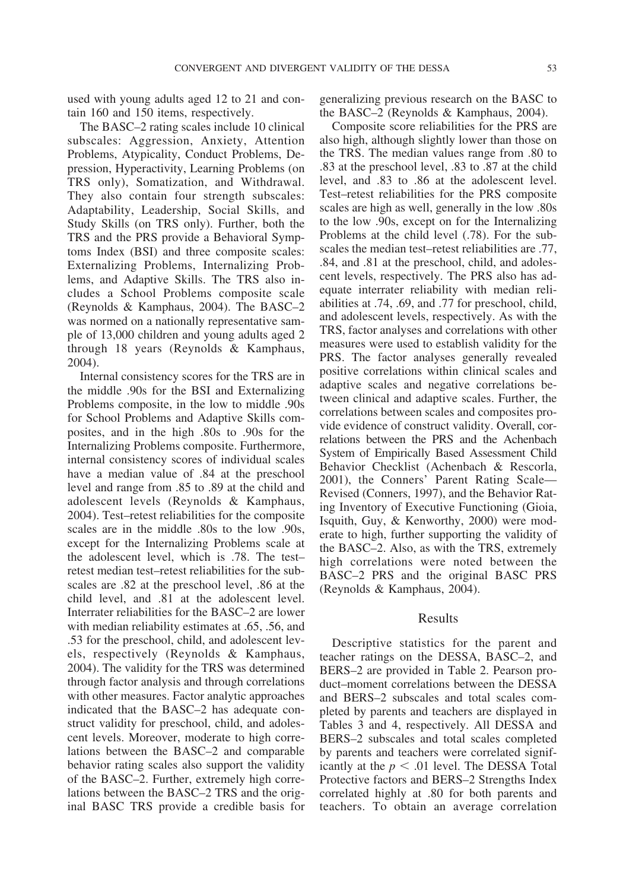used with young adults aged 12 to 21 and contain 160 and 150 items, respectively.

The BASC–2 rating scales include 10 clinical subscales: Aggression, Anxiety, Attention Problems, Atypicality, Conduct Problems, Depression, Hyperactivity, Learning Problems (on TRS only), Somatization, and Withdrawal. They also contain four strength subscales: Adaptability, Leadership, Social Skills, and Study Skills (on TRS only). Further, both the TRS and the PRS provide a Behavioral Symptoms Index (BSI) and three composite scales: Externalizing Problems, Internalizing Problems, and Adaptive Skills. The TRS also includes a School Problems composite scale (Reynolds & Kamphaus, 2004). The BASC–2 was normed on a nationally representative sample of 13,000 children and young adults aged 2 through 18 years (Reynolds & Kamphaus, 2004).

Internal consistency scores for the TRS are in the middle .90s for the BSI and Externalizing Problems composite, in the low to middle .90s for School Problems and Adaptive Skills composites, and in the high .80s to .90s for the Internalizing Problems composite. Furthermore, internal consistency scores of individual scales have a median value of .84 at the preschool level and range from .85 to .89 at the child and adolescent levels (Reynolds & Kamphaus, 2004). Test–retest reliabilities for the composite scales are in the middle .80s to the low .90s, except for the Internalizing Problems scale at the adolescent level, which is .78. The test– retest median test–retest reliabilities for the subscales are .82 at the preschool level, .86 at the child level, and .81 at the adolescent level. Interrater reliabilities for the BASC–2 are lower with median reliability estimates at .65, .56, and .53 for the preschool, child, and adolescent levels, respectively (Reynolds & Kamphaus, 2004). The validity for the TRS was determined through factor analysis and through correlations with other measures. Factor analytic approaches indicated that the BASC–2 has adequate construct validity for preschool, child, and adolescent levels. Moreover, moderate to high correlations between the BASC–2 and comparable behavior rating scales also support the validity of the BASC–2. Further, extremely high correlations between the BASC–2 TRS and the original BASC TRS provide a credible basis for

generalizing previous research on the BASC to the BASC–2 (Reynolds & Kamphaus, 2004).

Composite score reliabilities for the PRS are also high, although slightly lower than those on the TRS. The median values range from .80 to .83 at the preschool level, .83 to .87 at the child level, and .83 to .86 at the adolescent level. Test–retest reliabilities for the PRS composite scales are high as well, generally in the low .80s to the low .90s, except on for the Internalizing Problems at the child level (.78). For the subscales the median test–retest reliabilities are .77, .84, and .81 at the preschool, child, and adolescent levels, respectively. The PRS also has adequate interrater reliability with median reliabilities at .74, .69, and .77 for preschool, child, and adolescent levels, respectively. As with the TRS, factor analyses and correlations with other measures were used to establish validity for the PRS. The factor analyses generally revealed positive correlations within clinical scales and adaptive scales and negative correlations between clinical and adaptive scales. Further, the correlations between scales and composites provide evidence of construct validity. Overall, correlations between the PRS and the Achenbach System of Empirically Based Assessment Child Behavior Checklist (Achenbach & Rescorla, 2001), the Conners' Parent Rating Scale— Revised (Conners, 1997), and the Behavior Rating Inventory of Executive Functioning (Gioia, Isquith, Guy, & Kenworthy, 2000) were moderate to high, further supporting the validity of the BASC–2. Also, as with the TRS, extremely high correlations were noted between the BASC–2 PRS and the original BASC PRS (Reynolds & Kamphaus, 2004).

# Results

Descriptive statistics for the parent and teacher ratings on the DESSA, BASC–2, and BERS–2 are provided in Table 2. Pearson product–moment correlations between the DESSA and BERS–2 subscales and total scales completed by parents and teachers are displayed in Tables 3 and 4, respectively. All DESSA and BERS–2 subscales and total scales completed by parents and teachers were correlated significantly at the  $p < .01$  level. The DESSA Total Protective factors and BERS–2 Strengths Index correlated highly at .80 for both parents and teachers. To obtain an average correlation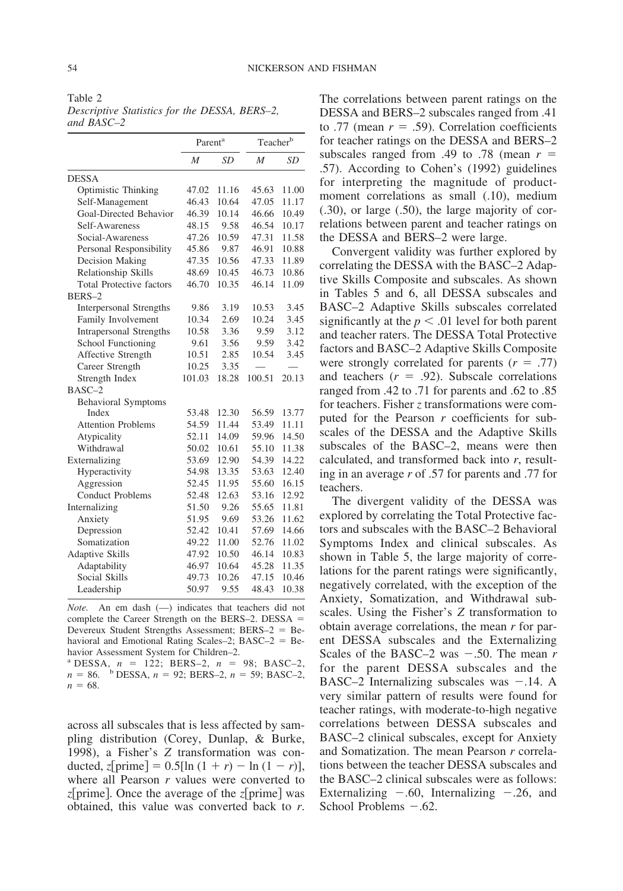Table 2

*Descriptive Statistics for the DESSA, BERS–2, and BASC–2*

|                                 | Parent <sup>a</sup> |           | Teacherb |           |
|---------------------------------|---------------------|-----------|----------|-----------|
|                                 | M                   | <b>SD</b> | M        | <b>SD</b> |
| <b>DESSA</b>                    |                     |           |          |           |
| Optimistic Thinking             | 47.02               | 11.16     | 45.63    | 11.00     |
| Self-Management                 | 46.43               | 10.64     | 47.05    | 11.17     |
| Goal-Directed Behavior          | 46.39               | 10.14     | 46.66    | 10.49     |
| Self-Awareness                  | 48.15               | 9.58      | 46.54    | 10.17     |
| Social-Awareness                | 47.26               | 10.59     | 47.31    | 11.58     |
| Personal Responsibility         | 45.86               | 9.87      | 46.91    | 10.88     |
| Decision Making                 | 47.35               | 10.56     | 47.33    | 11.89     |
| Relationship Skills             | 48.69               | 10.45     | 46.73    | 10.86     |
| <b>Total Protective factors</b> | 46.70               | 10.35     | 46.14    | 11.09     |
| BERS-2                          |                     |           |          |           |
| Interpersonal Strengths         | 9.86                | 3.19      | 10.53    | 3.45      |
| Family Involvement              | 10.34               | 2.69      | 10.24    | 3.45      |
| <b>Intrapersonal Strengths</b>  | 10.58               | 3.36      | 9.59     | 3.12      |
| School Functioning              | 9.61                | 3.56      | 9.59     | 3.42      |
| Affective Strength              | 10.51               | 2.85      | 10.54    | 3.45      |
| Career Strength                 | 10.25               | 3.35      |          |           |
| Strength Index                  | 101.03              | 18.28     | 100.51   | 20.13     |
| $BASC-2$                        |                     |           |          |           |
| <b>Behavioral Symptoms</b>      |                     |           |          |           |
| Index                           | 53.48               | 12.30     | 56.59    | 13.77     |
| <b>Attention Problems</b>       | 54.59               | 11.44     | 53.49    | 11.11     |
| Atypicality                     | 52.11               | 14.09     | 59.96    | 14.50     |
| Withdrawal                      | 50.02               | 10.61     | 55.10    | 11.38     |
| Externalizing                   | 53.69               | 12.90     | 54.39    | 14.22     |
| Hyperactivity                   | 54.98               | 13.35     | 53.63    | 12.40     |
| Aggression                      | 52.45               | 11.95     | 55.60    | 16.15     |
| <b>Conduct Problems</b>         | 52.48               | 12.63     | 53.16    | 12.92     |
| Internalizing                   | 51.50               | 9.26      | 55.65    | 11.81     |
| Anxiety                         | 51.95               | 9.69      | 53.26    | 11.62     |
| Depression                      | 52.42               | 10.41     | 57.69    | 14.66     |
| Somatization                    | 49.22               | 11.00     | 52.76    | 11.02     |
| Adaptive Skills                 | 47.92               | 10.50     | 46.14    | 10.83     |
| Adaptability                    | 46.97               | 10.64     | 45.28    | 11.35     |
| <b>Social Skills</b>            | 49.73               | 10.26     | 47.15    | 10.46     |
| Leadership                      | 50.97               | 9.55      | 48.43    | 10.38     |

*Note.* An em dash (—) indicates that teachers did not complete the Career Strength on the BERS–2. DESSA Devereux Student Strengths Assessment; BERS-2 = Behavioral and Emotional Rating Scales–2; BASC–2 = Behavior Assessment System for Children–2.

<sup>a</sup> DESSA,  $n = 122$ ; BERS–2,  $n = 98$ ; BASC–2,  $n = 86.$  b DESSA,  $n = 92$ ; BERS–2,  $n = 59$ ; BASC–2,  $n = 68$ .

across all subscales that is less affected by sampling distribution (Corey, Dunlap, & Burke, 1998), a Fisher's *Z* transformation was conducted, *z*[prime] =  $0.5$ [ln (1 + *r*)  $-$  ln (1 - *r*)], where all Pearson *r* values were converted to *z*[prime]. Once the average of the *z*[prime] was obtained, this value was converted back to *r*.

The correlations between parent ratings on the DESSA and BERS–2 subscales ranged from .41 to .77 (mean  $r = .59$ ). Correlation coefficients for teacher ratings on the DESSA and BERS–2 subscales ranged from .49 to .78 (mean  $r =$ .57). According to Cohen's (1992) guidelines for interpreting the magnitude of productmoment correlations as small (.10), medium (.30), or large (.50), the large majority of correlations between parent and teacher ratings on the DESSA and BERS–2 were large.

Convergent validity was further explored by correlating the DESSA with the BASC–2 Adaptive Skills Composite and subscales. As shown in Tables 5 and 6, all DESSA subscales and BASC–2 Adaptive Skills subscales correlated significantly at the  $p < .01$  level for both parent and teacher raters. The DESSA Total Protective factors and BASC–2 Adaptive Skills Composite were strongly correlated for parents  $(r = .77)$ and teachers  $(r = .92)$ . Subscale correlations ranged from .42 to .71 for parents and .62 to .85 for teachers. Fisher *z* transformations were computed for the Pearson *r* coefficients for subscales of the DESSA and the Adaptive Skills subscales of the BASC–2, means were then calculated, and transformed back into *r*, resulting in an average *r* of .57 for parents and .77 for teachers.

The divergent validity of the DESSA was explored by correlating the Total Protective factors and subscales with the BASC–2 Behavioral Symptoms Index and clinical subscales. As shown in Table 5, the large majority of correlations for the parent ratings were significantly, negatively correlated, with the exception of the Anxiety, Somatization, and Withdrawal subscales. Using the Fisher's *Z* transformation to obtain average correlations, the mean *r* for parent DESSA subscales and the Externalizing Scales of the BASC–2 was  $-.50$ . The mean  $r$ for the parent DESSA subscales and the BASC–2 Internalizing subscales was  $-.14$ . A very similar pattern of results were found for teacher ratings, with moderate-to-high negative correlations between DESSA subscales and BASC–2 clinical subscales, except for Anxiety and Somatization. The mean Pearson *r* correlations between the teacher DESSA subscales and the BASC–2 clinical subscales were as follows: Externalizing  $-.60$ , Internalizing  $-.26$ , and School Problems  $-.62$ .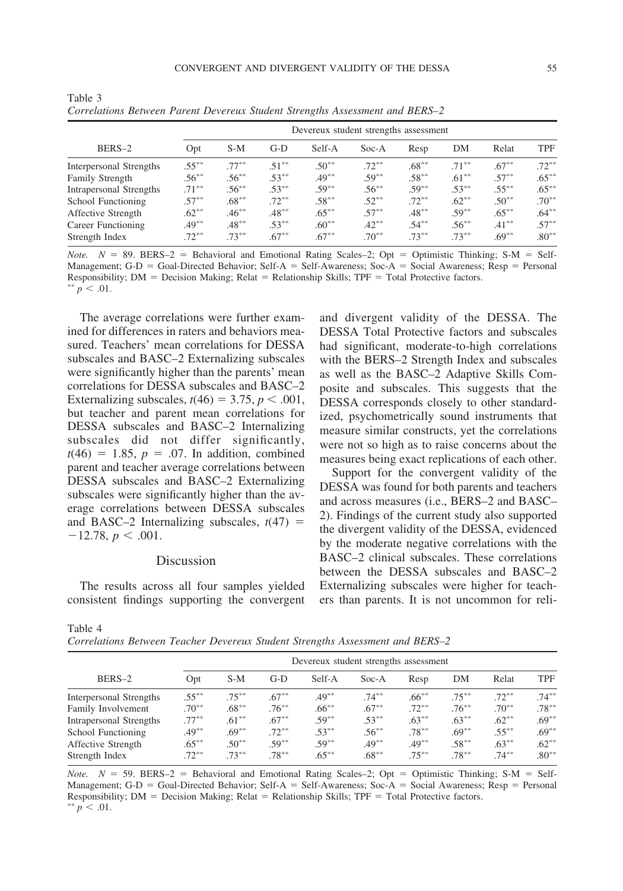| BERS-2                  | Devereux student strengths assessment |          |          |          |          |          |          |          |            |  |
|-------------------------|---------------------------------------|----------|----------|----------|----------|----------|----------|----------|------------|--|
|                         | Opt                                   | $S-M$    | $G-D$    | Self-A   | $Soc-A$  | Resp     | DM       | Relat    | <b>TPF</b> |  |
| Interpersonal Strengths | $.55***$                              | $.77***$ | $.51***$ | $.50***$ | $.72***$ | $.68***$ | $71***$  | $.67***$ | $.72***$   |  |
| <b>Family Strength</b>  | $.56***$                              | $.56***$ | $.53***$ | $.49***$ | $.59***$ | $.58***$ | $.61***$ | $.57***$ | $.65***$   |  |
| Intrapersonal Strengths | $.71***$                              | $.56***$ | $.53***$ | $.59***$ | $.56***$ | $.59***$ | $.53***$ | $.55***$ | $.65***$   |  |
| School Functioning      | $.57***$                              | $.68***$ | $.72***$ | $.58***$ | $.52***$ | $.72***$ | $.62***$ | $.50***$ | $.70***$   |  |
| Affective Strength      | $.62**$                               | $.46***$ | $.48***$ | $.65***$ | $.57***$ | $.48***$ | $.59***$ | $.65***$ | $.64***$   |  |
| Career Functioning      | $.49***$                              | $.48***$ | $.53***$ | $.60***$ | $.42***$ | $.54***$ | $.56***$ | $.41***$ | $.57***$   |  |
| Strength Index          | $.72***$                              | $.73***$ | $.67***$ | $.67***$ | $.70***$ | $.73***$ | $.73***$ | $.69***$ | $.80**$    |  |

Table 3 *Correlations Between Parent Devereux Student Strengths Assessment and BERS–2*

*Note.*  $N = 89$ . BERS–2 = Behavioral and Emotional Rating Scales–2; Opt = Optimistic Thinking; S-M = Self-Management; G-D = Goal-Directed Behavior; Self-A = Self-Awareness; Soc-A = Social Awareness; Resp = Personal Responsibility; DM = Decision Making; Relat = Relationship Skills; TPF = Total Protective factors. \*\*  $p < .01$ .

The average correlations were further examined for differences in raters and behaviors measured. Teachers' mean correlations for DESSA subscales and BASC–2 Externalizing subscales were significantly higher than the parents' mean correlations for DESSA subscales and BASC–2 Externalizing subscales,  $t(46) = 3.75$ ,  $p < .001$ , but teacher and parent mean correlations for DESSA subscales and BASC–2 Internalizing subscales did not differ significantly,  $t(46) = 1.85, p = .07$ . In addition, combined parent and teacher average correlations between DESSA subscales and BASC–2 Externalizing subscales were significantly higher than the average correlations between DESSA subscales and BASC–2 Internalizing subscales,  $t(47)$  =  $-12.78, p < .001.$ 

## Discussion

The results across all four samples yielded consistent findings supporting the convergent and divergent validity of the DESSA. The DESSA Total Protective factors and subscales had significant, moderate-to-high correlations with the BERS–2 Strength Index and subscales as well as the BASC–2 Adaptive Skills Composite and subscales. This suggests that the DESSA corresponds closely to other standardized, psychometrically sound instruments that measure similar constructs, yet the correlations were not so high as to raise concerns about the measures being exact replications of each other.

Support for the convergent validity of the DESSA was found for both parents and teachers and across measures (i.e., BERS–2 and BASC– 2). Findings of the current study also supported the divergent validity of the DESSA, evidenced by the moderate negative correlations with the BASC–2 clinical subscales. These correlations between the DESSA subscales and BASC–2 Externalizing subscales were higher for teachers than parents. It is not uncommon for reli-

| Table 4                                                                       |  |  |  |  |
|-------------------------------------------------------------------------------|--|--|--|--|
| Correlations Between Teacher Devereux Student Strengths Assessment and BERS-2 |  |  |  |  |

| BERS-2                  |          | Devereux student strengths assessment |          |          |          |          |          |          |            |  |
|-------------------------|----------|---------------------------------------|----------|----------|----------|----------|----------|----------|------------|--|
|                         | Opt      | $S-M$                                 | G-D      | Self-A   | $Soc-A$  | Resp     | DM       | Relat    | <b>TPF</b> |  |
| Interpersonal Strengths | $.55***$ | $.75***$                              | $.67***$ | $.49***$ | $.74***$ | $.66***$ | $.75***$ | $.72***$ | $.74***$   |  |
| Family Involvement      | $.70***$ | $.68***$                              | $.76***$ | $.66***$ | $.67***$ | $.72***$ | $.76***$ | $.70***$ | $.78***$   |  |
| Intrapersonal Strengths | $.77***$ | $.61***$                              | $.67***$ | $.59***$ | $.53***$ | $.63***$ | $.63***$ | $.62***$ | $.69***$   |  |
| School Functioning      | $.49***$ | $.69***$                              | $.72***$ | $.53***$ | $.56***$ | $.78***$ | $.69***$ | $.55***$ | $.69***$   |  |
| Affective Strength      | $.65***$ | $.50**$                               | $.59***$ | $.59***$ | $.49***$ | $.49***$ | $.58***$ | $.63***$ | $.62***$   |  |
| Strength Index          | $.72***$ | $73***$                               | $.78***$ | $.65***$ | $.68***$ | $.75***$ | $.78***$ | $.74***$ | $.80***$   |  |

*Note.*  $N = 59$ . BERS–2 = Behavioral and Emotional Rating Scales–2; Opt = Optimistic Thinking; S-M = Self-Management;  $G-D =$  Goal-Directed Behavior; Self-A = Self-Awareness; Soc-A = Social Awareness; Resp = Personal Responsibility; DM = Decision Making; Relat = Relationship Skills; TPF = Total Protective factors.  $p < .01$ .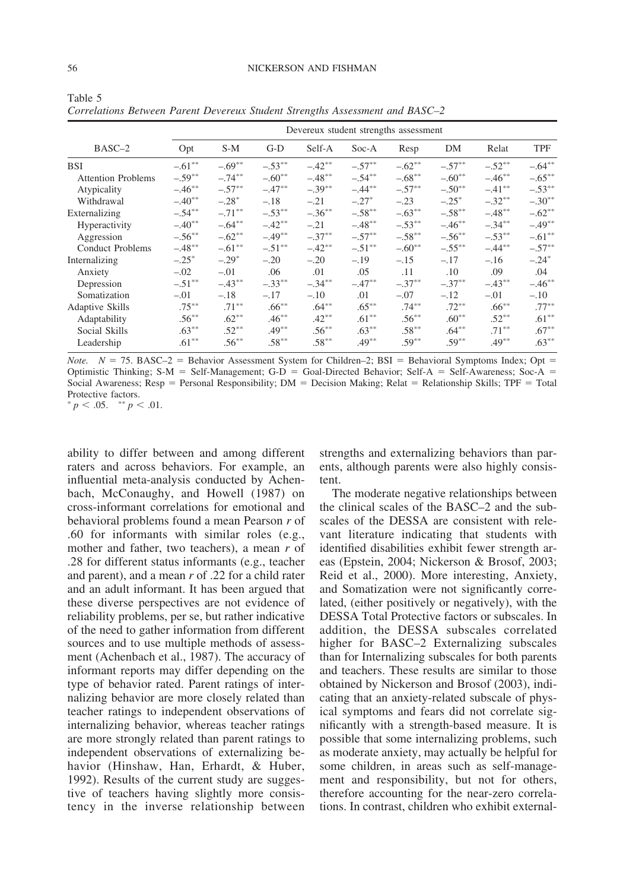|                           | Devereux student strengths assessment |           |           |           |           |           |             |           |            |
|---------------------------|---------------------------------------|-----------|-----------|-----------|-----------|-----------|-------------|-----------|------------|
| BASC-2                    | Opt                                   | $S-M$     | $G-D$     | Self-A    | $Soc-A$   | Resp      | DM          | Relat     | <b>TPF</b> |
| <b>BSI</b>                | $-.61***$                             | $-.69**$  | $-.53***$ | $-.42**$  | $-.57***$ | $-.62**$  | $-.57***$   | $-.52**$  | $-.64***$  |
| <b>Attention Problems</b> | $-.59**$                              | $-.74***$ | $-.60**$  | $-.48**$  | $-.54***$ | $-.68***$ | $-.60**$    | $-.46***$ | $-.65***$  |
| Atypicality               | $-.46***$                             | $-.57***$ | $-.47***$ | $-.39***$ | $-.44***$ | $-.57**$  | $-.50**$    | $-.41***$ | $-.53***$  |
| Withdrawal                | $-.40**$                              | $-.28*$   | $-.18$    | $-.21$    | $-.27*$   | $-.23$    | $-.25^*$    | $-.32***$ | $-.30**$   |
| Externalizing             | $-.54***$                             | $-.71***$ | $-.53**$  | $-.36***$ | $-.58**$  | $-.63**$  | $-.58**$    | $-.48**$  | $-.62**$   |
| <b>Hyperactivity</b>      | $-.40**$                              | $-.64***$ | $-.42**$  | $-.21$    | $-.48***$ | $-.53***$ | $-.46***$   | $-.34***$ | $-.49***$  |
| Aggression                | $-.56***$                             | $-.62**$  | $-.49***$ | $-.37***$ | $-.57***$ | $-.58***$ | $-.56^{**}$ | $-.53***$ | $-.61***$  |
| <b>Conduct Problems</b>   | $-.48***$                             | $-.61**$  | $-.51***$ | $-.42**$  | $-.51***$ | $-.60**$  | $-.55***$   | $-.44***$ | $-.57**$   |
| Internalizing             | $-.25*$                               | $-.29*$   | $-.20$    | $-.20$    | $-.19$    | $-.15$    | $-.17$      | $-.16$    | $-.24*$    |
| Anxiety                   | $-.02$                                | $-.01$    | .06       | .01       | .05       | .11       | .10         | .09       | .04        |
| Depression                | $-.51***$                             | $-.43***$ | $-.33***$ | $-.34***$ | $-.47**$  | $-.37***$ | $-.37***$   | $-.43***$ | $-.46**$   |
| Somatization              | $-.01$                                | $-.18$    | $-.17$    | $-.10$    | .01       | $-.07$    | $-.12$      | $-.01$    | $-.10$     |
| Adaptive Skills           | $.75***$                              | $.71***$  | $.66***$  | $.64***$  | $.65***$  | $.74***$  | $.72***$    | $.66***$  | $.77***$   |
| Adaptability              | $.56***$                              | $.62***$  | $.46***$  | $.42***$  | $.61***$  | $.56***$  | $.60**$     | $.52***$  | $.61***$   |
| Social Skills             | $.63***$                              | $.52***$  | $.49***$  | $.56***$  | $.63***$  | $.58***$  | $.64***$    | $.71***$  | $.67***$   |
| Leadership                | $.61***$                              | $.56***$  | $.58***$  | $.58***$  | $.49***$  | $.59***$  | $.59***$    | $.49***$  | $.63***$   |

Table 5 *Correlations Between Parent Devereux Student Strengths Assessment and BASC–2*

*Note.*  $N = 75$ . BASC-2 = Behavior Assessment System for Children-2; BSI = Behavioral Symptoms Index; Opt = Optimistic Thinking;  $S-M = Self-Management$ ;  $G-D = Goal-Directed Behavior$ ; Self-A = Self-Awareness; Soc-A = Social Awareness;  $Resp = Personal Responsibility$ ;  $DM = Decision Making$ ; Relat = Relationship Skills; TPF = Total Protective factors.

 $p < .05.$  \*\*  $p < .01.$ 

ability to differ between and among different raters and across behaviors. For example, an influential meta-analysis conducted by Achenbach, McConaughy, and Howell (1987) on cross-informant correlations for emotional and behavioral problems found a mean Pearson *r* of .60 for informants with similar roles (e.g., mother and father, two teachers), a mean *r* of .28 for different status informants (e.g., teacher and parent), and a mean *r* of .22 for a child rater and an adult informant. It has been argued that these diverse perspectives are not evidence of reliability problems, per se, but rather indicative of the need to gather information from different sources and to use multiple methods of assessment (Achenbach et al., 1987). The accuracy of informant reports may differ depending on the type of behavior rated. Parent ratings of internalizing behavior are more closely related than teacher ratings to independent observations of internalizing behavior, whereas teacher ratings are more strongly related than parent ratings to independent observations of externalizing behavior (Hinshaw, Han, Erhardt, & Huber, 1992). Results of the current study are suggestive of teachers having slightly more consistency in the inverse relationship between

strengths and externalizing behaviors than parents, although parents were also highly consistent.

The moderate negative relationships between the clinical scales of the BASC–2 and the subscales of the DESSA are consistent with relevant literature indicating that students with identified disabilities exhibit fewer strength areas (Epstein, 2004; Nickerson & Brosof, 2003; Reid et al., 2000). More interesting, Anxiety, and Somatization were not significantly correlated, (either positively or negatively), with the DESSA Total Protective factors or subscales. In addition, the DESSA subscales correlated higher for BASC–2 Externalizing subscales than for Internalizing subscales for both parents and teachers. These results are similar to those obtained by Nickerson and Brosof (2003), indicating that an anxiety-related subscale of physical symptoms and fears did not correlate significantly with a strength-based measure. It is possible that some internalizing problems, such as moderate anxiety, may actually be helpful for some children, in areas such as self-management and responsibility, but not for others, therefore accounting for the near-zero correlations. In contrast, children who exhibit external-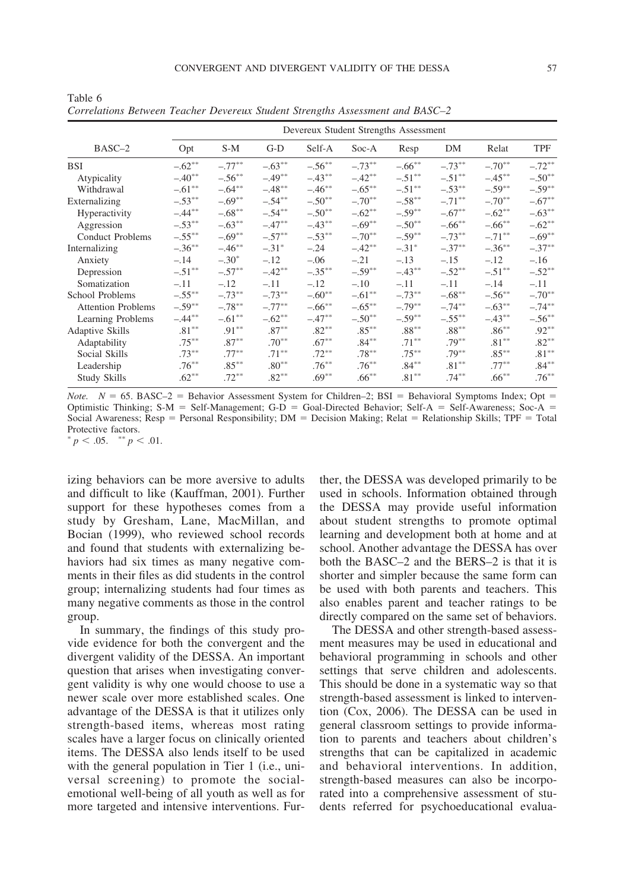|                           | Devereux Student Strengths Assessment |           |           |           |           |           |           |           |            |  |
|---------------------------|---------------------------------------|-----------|-----------|-----------|-----------|-----------|-----------|-----------|------------|--|
| BASC-2                    | Opt                                   | S-M       | $G-D$     | Self-A    | Soc-A     | Resp      | DM        | Relat     | <b>TPF</b> |  |
| <b>BSI</b>                | $-.62**$                              | $-.77***$ | $-.63***$ | $-.56***$ | $-.73***$ | $-.66***$ | $-.73***$ | $-.70**$  | $-.72**$   |  |
| Atypicality               | $-.40**$                              | $-.56**$  | $-.49**$  | $-.43***$ | $-.42**$  | $-.51***$ | $-.51***$ | $-.45***$ | $-.50**$   |  |
| Withdrawal                | $-.61**$                              | $-.64***$ | $-.48***$ | $-.46***$ | $-.65***$ | $-.51***$ | $-.53**$  | $-.59***$ | $-.59***$  |  |
| Externalizing             | $-.53***$                             | $-.69***$ | $-.54**$  | $-.50**$  | $-.70**$  | $-.58***$ | $-.71***$ | $-.70**$  | $-.67**$   |  |
| Hyperactivity             | $-.44***$                             | $-.68**$  | $-.54**$  | $-.50**$  | $-.62**$  | $-.59**$  | $-.67**$  | $-.62**$  | $-.63**$   |  |
| Aggression                | $-.53***$                             | $-.63***$ | $-.47**$  | $-.43***$ | $-.69**$  | $-.50**$  | $-.66***$ | $-.66***$ | $-.62**$   |  |
| <b>Conduct Problems</b>   | $-.55***$                             | $-.69***$ | $-.57***$ | $-.53***$ | $-.70**$  | $-.59***$ | $-.73***$ | $-.71***$ | $-.69***$  |  |
| Internalizing             | $-.36***$                             | $-.46***$ | $-.31*$   | $-.24$    | $-.42**$  | $-.31*$   | $-.37***$ | $-.36***$ | $-.37***$  |  |
| Anxiety                   | $-.14$                                | $-.30*$   | $-.12$    | $-.06$    | $-.21$    | $-.13$    | $-.15$    | $-.12$    | $-.16$     |  |
| Depression                | $-.51***$                             | $-.57**$  | $-.42***$ | $-.35***$ | $-.59***$ | $-.43***$ | $-.52**$  | $-.51***$ | $-.52**$   |  |
| Somatization              | $-.11$                                | $-.12$    | $-.11$    | $-.12$    | $-.10$    | $-.11$    | $-.11$    | $-.14$    | $-.11$     |  |
| School Problems           | $-.55***$                             | $-.73***$ | $-.73***$ | $-.60**$  | $-.61***$ | $-.73***$ | $-.68**$  | $-.56***$ | $-.70**$   |  |
| <b>Attention Problems</b> | $-.59***$                             | $-.78***$ | $-.77***$ | $-.66***$ | $-.65***$ | $-.79***$ | $-.74***$ | $-.63***$ | $-.74***$  |  |
| Learning Problems         | $-.44***$                             | $-.61***$ | $-.62**$  | $-.47**$  | $-.50**$  | $-.59**$  | $-.55***$ | $-.43***$ | $-.56***$  |  |
| Adaptive Skills           | $.81***$                              | $.91***$  | $.87***$  | $.82***$  | $.85***$  | $.88***$  | $.88***$  | $.86***$  | $.92***$   |  |
| Adaptability              | $.75***$                              | $.87***$  | $.70***$  | $.67***$  | $.84***$  | $.71***$  | $.79***$  | $.81***$  | $.82***$   |  |
| Social Skills             | $.73***$                              | $.77***$  | $.71***$  | $.72***$  | $.78***$  | $.75***$  | $.79***$  | $.85***$  | $.81***$   |  |
| Leadership                | $.76***$                              | $.85***$  | $.80***$  | $.76***$  | $.76***$  | $.84***$  | $.81***$  | $.77***$  | $.84***$   |  |
| Study Skills              | $.62***$                              | $.72***$  | $.82***$  | $.69***$  | $.66***$  | $.81***$  | $.74***$  | $.66***$  | $.76***$   |  |
|                           |                                       |           |           |           |           |           |           |           |            |  |

Table 6 *Correlations Between Teacher Devereux Student Strengths Assessment and BASC–2*

*Note.*  $N = 65$ . BASC–2 = Behavior Assessment System for Children–2; BSI = Behavioral Symptoms Index; Opt = Optimistic Thinking;  $S-M = Self-Management$ ;  $G-D = Goal-Directed Behavior$ ; Self-A = Self-Awareness; Soc-A = Social Awareness; Resp = Personal Responsibility;  $DM = Decision Making$ ; Relat = Relationship Skills; TPF = Total Protective factors.

 $p < .05.$  \*\*  $p < .01.$ 

izing behaviors can be more aversive to adults and difficult to like (Kauffman, 2001). Further support for these hypotheses comes from a study by Gresham, Lane, MacMillan, and Bocian (1999), who reviewed school records and found that students with externalizing behaviors had six times as many negative comments in their files as did students in the control group; internalizing students had four times as many negative comments as those in the control group.

In summary, the findings of this study provide evidence for both the convergent and the divergent validity of the DESSA. An important question that arises when investigating convergent validity is why one would choose to use a newer scale over more established scales. One advantage of the DESSA is that it utilizes only strength-based items, whereas most rating scales have a larger focus on clinically oriented items. The DESSA also lends itself to be used with the general population in Tier 1 (i.e., universal screening) to promote the socialemotional well-being of all youth as well as for more targeted and intensive interventions. Further, the DESSA was developed primarily to be used in schools. Information obtained through the DESSA may provide useful information about student strengths to promote optimal learning and development both at home and at school. Another advantage the DESSA has over both the BASC–2 and the BERS–2 is that it is shorter and simpler because the same form can be used with both parents and teachers. This also enables parent and teacher ratings to be directly compared on the same set of behaviors.

The DESSA and other strength-based assessment measures may be used in educational and behavioral programming in schools and other settings that serve children and adolescents. This should be done in a systematic way so that strength-based assessment is linked to intervention (Cox, 2006). The DESSA can be used in general classroom settings to provide information to parents and teachers about children's strengths that can be capitalized in academic and behavioral interventions. In addition, strength-based measures can also be incorporated into a comprehensive assessment of students referred for psychoeducational evalua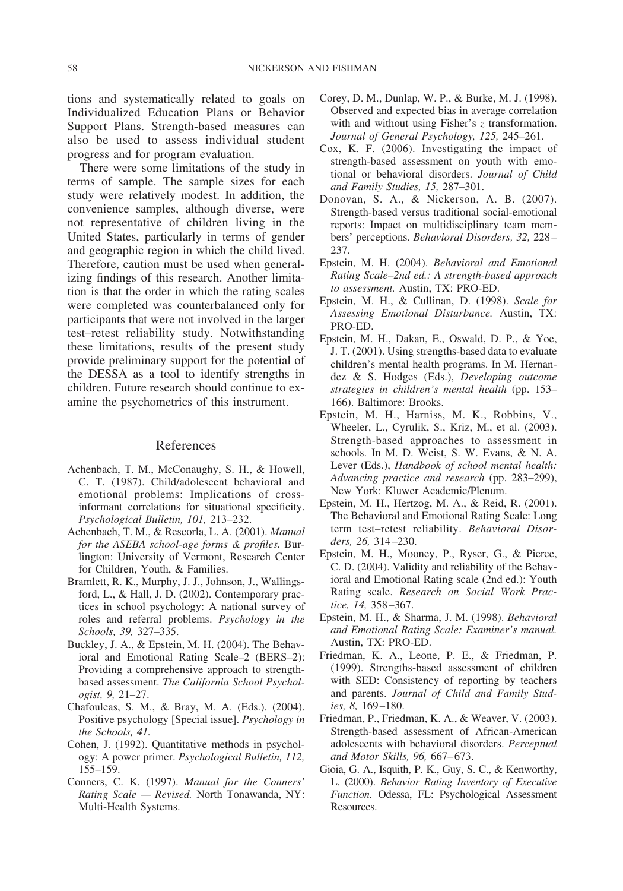tions and systematically related to goals on Individualized Education Plans or Behavior Support Plans. Strength-based measures can also be used to assess individual student progress and for program evaluation.

There were some limitations of the study in terms of sample. The sample sizes for each study were relatively modest. In addition, the convenience samples, although diverse, were not representative of children living in the United States, particularly in terms of gender and geographic region in which the child lived. Therefore, caution must be used when generalizing findings of this research. Another limitation is that the order in which the rating scales were completed was counterbalanced only for participants that were not involved in the larger test–retest reliability study. Notwithstanding these limitations, results of the present study provide preliminary support for the potential of the DESSA as a tool to identify strengths in children. Future research should continue to examine the psychometrics of this instrument.

## References

- Achenbach, T. M., McConaughy, S. H., & Howell, C. T. (1987). Child/adolescent behavioral and emotional problems: Implications of crossinformant correlations for situational specificity. *Psychological Bulletin, 101,* 213–232.
- Achenbach, T. M., & Rescorla, L. A. (2001). *Manual for the ASEBA school-age forms & profiles.* Burlington: University of Vermont, Research Center for Children, Youth, & Families.
- Bramlett, R. K., Murphy, J. J., Johnson, J., Wallingsford, L., & Hall, J. D. (2002). Contemporary practices in school psychology: A national survey of roles and referral problems. *Psychology in the Schools, 39,* 327–335.
- Buckley, J. A., & Epstein, M. H. (2004). The Behavioral and Emotional Rating Scale–2 (BERS–2): Providing a comprehensive approach to strengthbased assessment. *The California School Psychologist, 9,* 21–27.
- Chafouleas, S. M., & Bray, M. A. (Eds.). (2004). Positive psychology [Special issue]. *Psychology in the Schools, 41.*
- Cohen, J. (1992). Quantitative methods in psychology: A power primer. *Psychological Bulletin, 112,* 155–159.
- Conners, C. K. (1997). *Manual for the Conners' Rating Scale — Revised.* North Tonawanda, NY: Multi-Health Systems.
- Corey, D. M., Dunlap, W. P., & Burke, M. J. (1998). Observed and expected bias in average correlation with and without using Fisher's *z* transformation. *Journal of General Psychology, 125,* 245–261.
- Cox, K. F. (2006). Investigating the impact of strength-based assessment on youth with emotional or behavioral disorders. *Journal of Child and Family Studies, 15,* 287–301.
- Donovan, S. A., & Nickerson, A. B. (2007). Strength-based versus traditional social-emotional reports: Impact on multidisciplinary team members' perceptions. *Behavioral Disorders, 32,* 228– 237.
- Epstein, M. H. (2004). *Behavioral and Emotional Rating Scale–2nd ed.: A strength-based approach to assessment.* Austin, TX: PRO-ED.
- Epstein, M. H., & Cullinan, D. (1998). *Scale for Assessing Emotional Disturbance.* Austin, TX: PRO-ED.
- Epstein, M. H., Dakan, E., Oswald, D. P., & Yoe, J. T. (2001). Using strengths-based data to evaluate children's mental health programs. In M. Hernandez & S. Hodges (Eds.), *Developing outcome strategies in children's mental health* (pp. 153– 166). Baltimore: Brooks.
- Epstein, M. H., Harniss, M. K., Robbins, V., Wheeler, L., Cyrulik, S., Kriz, M., et al. (2003). Strength-based approaches to assessment in schools. In M. D. Weist, S. W. Evans, & N. A. Lever (Eds.), *Handbook of school mental health: Advancing practice and research* (pp. 283–299), New York: Kluwer Academic/Plenum.
- Epstein, M. H., Hertzog, M. A., & Reid, R. (2001). The Behavioral and Emotional Rating Scale: Long term test–retest reliability. *Behavioral Disorders, 26,* 314–230.
- Epstein, M. H., Mooney, P., Ryser, G., & Pierce, C. D. (2004). Validity and reliability of the Behavioral and Emotional Rating scale (2nd ed.): Youth Rating scale. *Research on Social Work Practice, 14,* 358–367.
- Epstein, M. H., & Sharma, J. M. (1998). *Behavioral and Emotional Rating Scale: Examiner's manual.* Austin, TX: PRO-ED.
- Friedman, K. A., Leone, P. E., & Friedman, P. (1999). Strengths-based assessment of children with SED: Consistency of reporting by teachers and parents. *Journal of Child and Family Studies, 8,* 169–180.
- Friedman, P., Friedman, K. A., & Weaver, V. (2003). Strength-based assessment of African-American adolescents with behavioral disorders. *Perceptual and Motor Skills, 96,* 667–673.
- Gioia, G. A., Isquith, P. K., Guy, S. C., & Kenworthy, L. (2000). *Behavior Rating Inventory of Executive Function.* Odessa, FL: Psychological Assessment Resources.